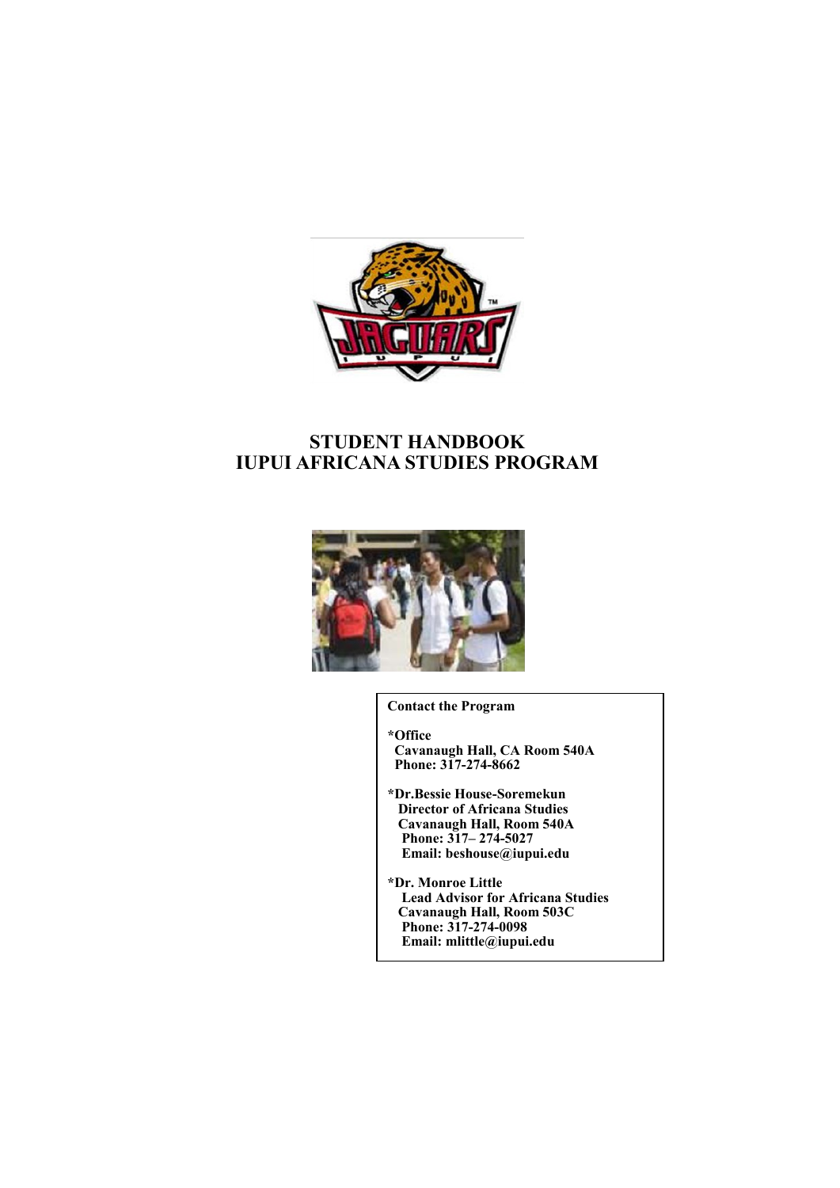

# **STUDENT HANDBOOK IUPUI AFRICANA STUDIES PROGRAM**



**Contact the Program**

**\*Office Cavanaugh Hall, CA Room 540A Phone: 317-274-8662**

**\*Dr.Bessie House-Soremekun Director of Africana Studies Cavanaugh Hall, Room 540A Phone: 317– 274-5027 Email: beshouse@iupui.edu**

**\*Dr. Monroe Little Lead Advisor for Africana Studies Cavanaugh Hall, Room 503C Phone: 317-274-0098 Email: mlittle@iupui.edu**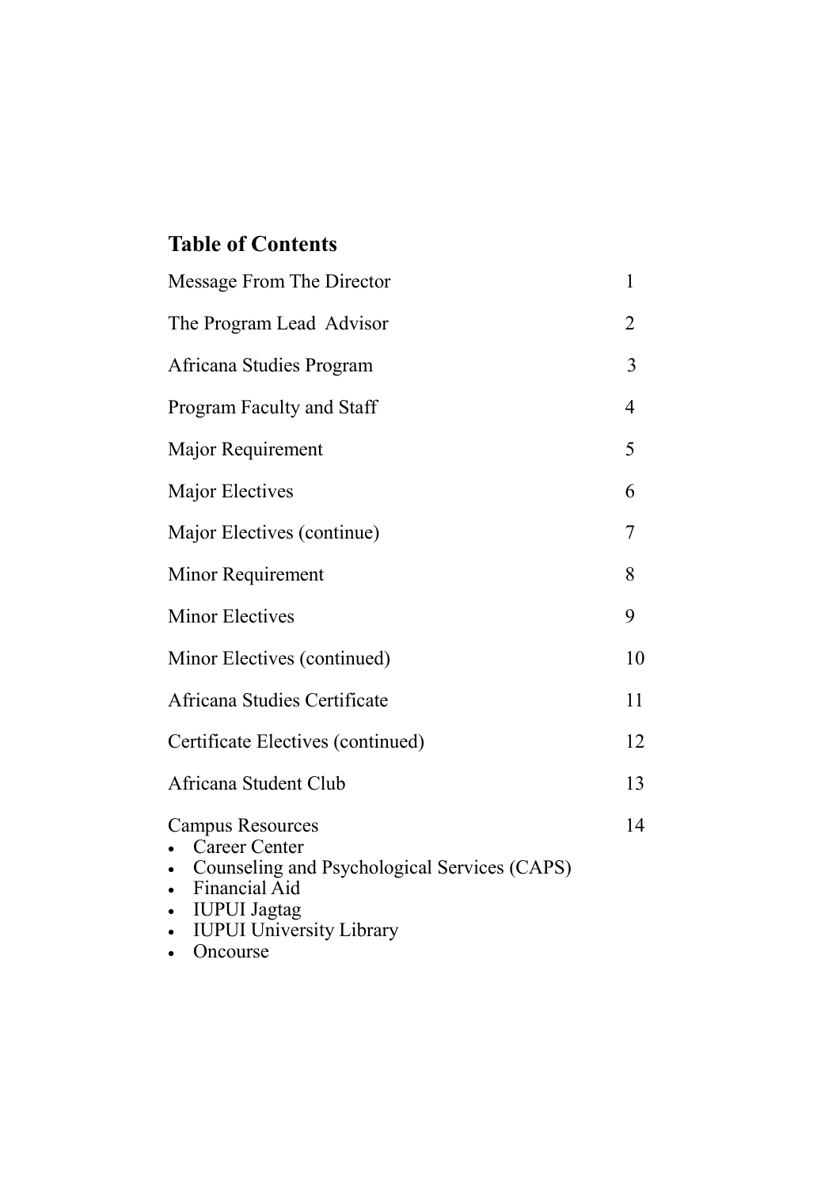# **Table of Contents**

| Message From The Director                                                                                                                                                                                         | 1              |
|-------------------------------------------------------------------------------------------------------------------------------------------------------------------------------------------------------------------|----------------|
| The Program Lead Advisor                                                                                                                                                                                          | 2              |
| Africana Studies Program                                                                                                                                                                                          | 3              |
| Program Faculty and Staff                                                                                                                                                                                         | $\overline{4}$ |
| Major Requirement                                                                                                                                                                                                 | 5              |
| Major Electives                                                                                                                                                                                                   | 6              |
| Major Electives (continue)                                                                                                                                                                                        | 7              |
| Minor Requirement                                                                                                                                                                                                 | 8              |
| <b>Minor Electives</b>                                                                                                                                                                                            | 9              |
| Minor Electives (continued)                                                                                                                                                                                       | 10             |
| Africana Studies Certificate                                                                                                                                                                                      | 11             |
| Certificate Electives (continued)                                                                                                                                                                                 | 12             |
| Africana Student Club                                                                                                                                                                                             | 13             |
| <b>Campus Resources</b><br><b>Career Center</b><br>Counseling and Psychological Services (CAPS)<br>Financial Aid<br>$\bullet$<br><b>IUPUI</b> Jagtag<br>$\bullet$<br><b>IUPUI University Library</b><br>$\bullet$ | 14             |

• Oncourse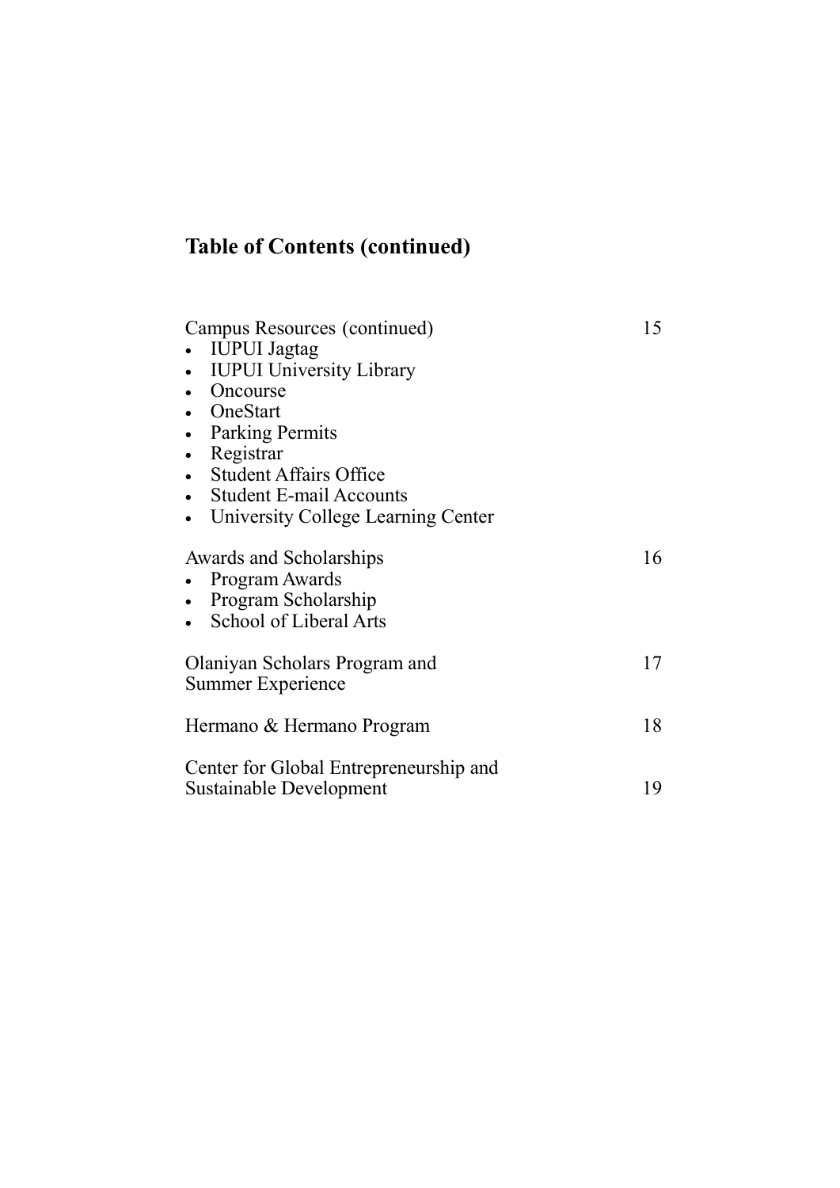# **Table of Contents (continued)**

| Campus Resources (continued)                                                               | 15 |
|--------------------------------------------------------------------------------------------|----|
| <b>IUPUI</b> Jagtag                                                                        |    |
| <b>IUPUI University Library</b>                                                            |    |
| Oncourse                                                                                   |    |
| • OneStart                                                                                 |    |
| <b>Parking Permits</b>                                                                     |    |
| Registrar                                                                                  |    |
| • Student Affairs Office                                                                   |    |
| <b>Student E-mail Accounts</b>                                                             |    |
| University College Learning Center                                                         |    |
| Awards and Scholarships<br>Program Awards<br>Program Scholarship<br>School of Liberal Arts | 16 |
| Olaniyan Scholars Program and<br><b>Summer Experience</b>                                  | 17 |
| Hermano & Hermano Program                                                                  | 18 |
| Center for Global Entrepreneurship and<br>Sustainable Development                          | 19 |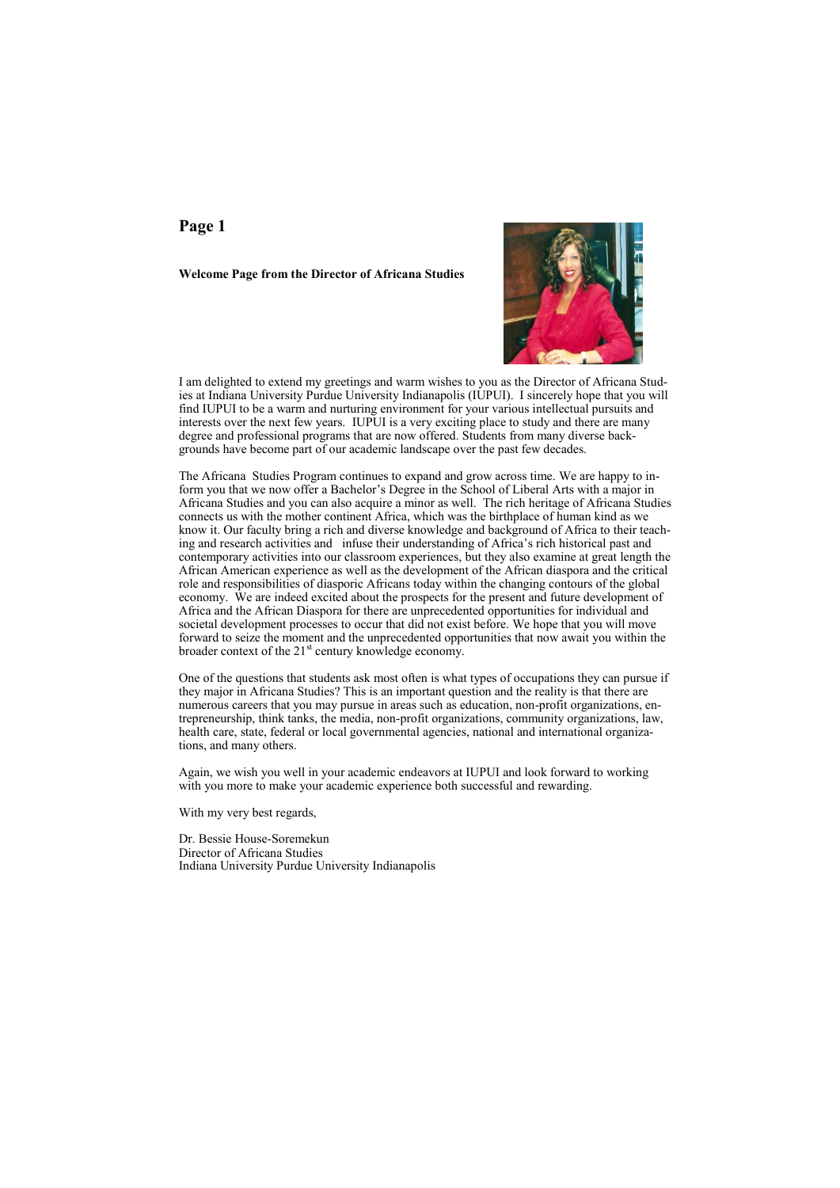#### **Welcome Page from the Director of Africana Studies**



I am delighted to extend my greetings and warm wishes to you as the Director of Africana Studies at Indiana University Purdue University Indianapolis (IUPUI). I sincerely hope that you will find IUPUI to be a warm and nurturing environment for your various intellectual pursuits and interests over the next few years. IUPUI is a very exciting place to study and there are many degree and professional programs that are now offered. Students from many diverse backgrounds have become part of our academic landscape over the past few decades.

The Africana Studies Program continues to expand and grow across time. We are happy to inform you that we now offer a Bachelor's Degree in the School of Liberal Arts with a major in Africana Studies and you can also acquire a minor as well. The rich heritage of Africana Studies connects us with the mother continent Africa, which was the birthplace of human kind as we know it. Our faculty bring a rich and diverse knowledge and background of Africa to their teaching and research activities and infuse their understanding of Africa's rich historical past and contemporary activities into our classroom experiences, but they also examine at great length the African American experience as well as the development of the African diaspora and the critical role and responsibilities of diasporic Africans today within the changing contours of the global economy. We are indeed excited about the prospects for the present and future development of Africa and the African Diaspora for there are unprecedented opportunities for individual and societal development processes to occur that did not exist before. We hope that you will move forward to seize the moment and the unprecedented opportunities that now await you within the broader context of the  $21<sup>st</sup>$  century knowledge economy.

One of the questions that students ask most often is what types of occupations they can pursue if they major in Africana Studies? This is an important question and the reality is that there are numerous careers that you may pursue in areas such as education, non-profit organizations, entrepreneurship, think tanks, the media, non-profit organizations, community organizations, law, health care, state, federal or local governmental agencies, national and international organizations, and many others.

Again, we wish you well in your academic endeavors at IUPUI and look forward to working with you more to make your academic experience both successful and rewarding.

With my very best regards,

Dr. Bessie House-Soremekun Director of Africana Studies Indiana University Purdue University Indianapolis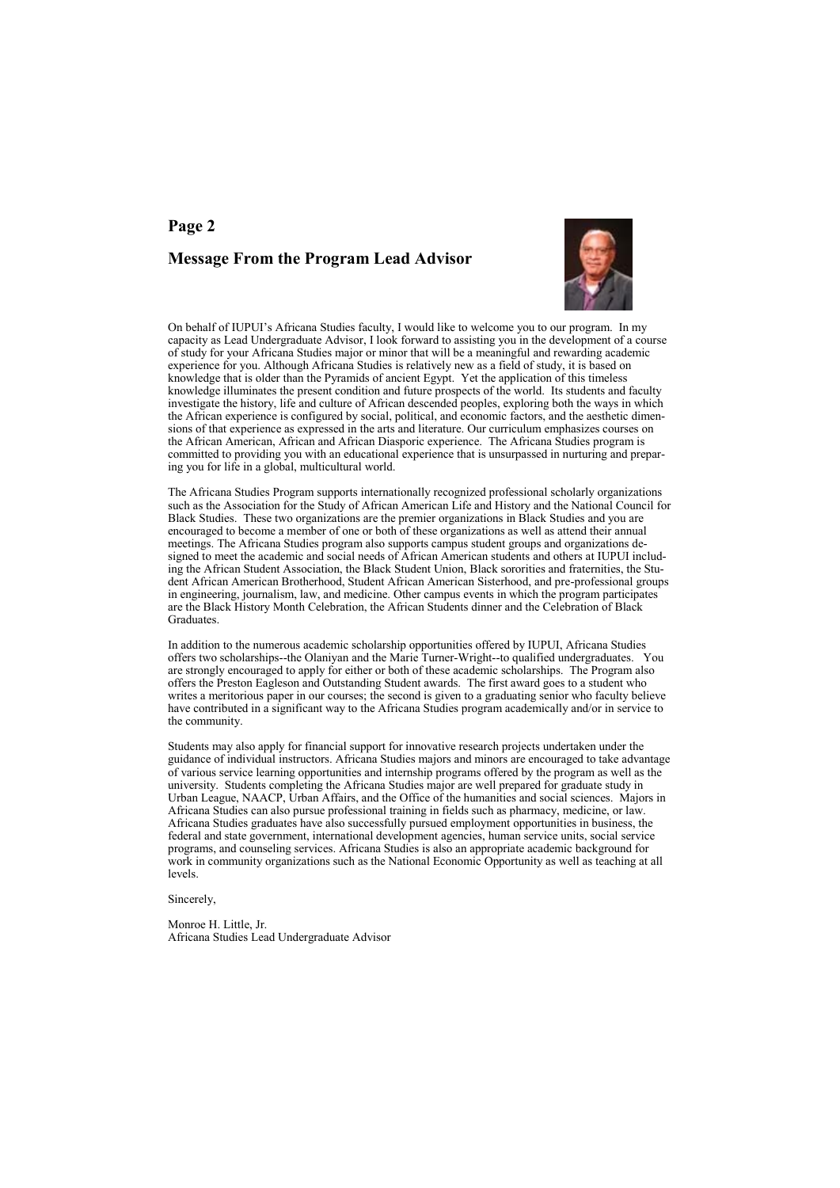# **Page 2 Message From the Program Lead Advisor**



On behalf of IUPUI's Africana Studies faculty, I would like to welcome you to our program. In my capacity as Lead Undergraduate Advisor, I look forward to assisting you in the development of a course of study for your Africana Studies major or minor that will be a meaningful and rewarding academic experience for you. Although Africana Studies is relatively new as a field of study, it is based on knowledge that is older than the Pyramids of ancient Egypt. Yet the application of this timeless knowledge illuminates the present condition and future prospects of the world. Its students and faculty investigate the history, life and culture of African descended peoples, exploring both the ways in which the African experience is configured by social, political, and economic factors, and the aesthetic dimensions of that experience as expressed in the arts and literature. Our curriculum emphasizes courses on the African American, African and African Diasporic experience. The Africana Studies program is committed to providing you with an educational experience that is unsurpassed in nurturing and preparing you for life in a global, multicultural world.

The Africana Studies Program supports internationally recognized professional scholarly organizations such as the Association for the Study of African American Life and History and the National Council for Black Studies. These two organizations are the premier organizations in Black Studies and you are encouraged to become a member of one or both of these organizations as well as attend their annual meetings. The Africana Studies program also supports campus student groups and organizations designed to meet the academic and social needs of African American students and others at IUPUI including the African Student Association, the Black Student Union, Black sororities and fraternities, the Student African American Brotherhood, Student African American Sisterhood, and pre-professional groups in engineering, journalism, law, and medicine. Other campus events in which the program participates are the Black History Month Celebration, the African Students dinner and the Celebration of Black Graduates.

In addition to the numerous academic scholarship opportunities offered by IUPUI, Africana Studies offers two scholarships--the Olaniyan and the Marie Turner-Wright--to qualified undergraduates. You are strongly encouraged to apply for either or both of these academic scholarships. The Program also offers the Preston Eagleson and Outstanding Student awards. The first award goes to a student who writes a meritorious paper in our courses; the second is given to a graduating senior who faculty believe have contributed in a significant way to the Africana Studies program academically and/or in service to the community.

Students may also apply for financial support for innovative research projects undertaken under the guidance of individual instructors. Africana Studies majors and minors are encouraged to take advantage of various service learning opportunities and internship programs offered by the program as well as the university. Students completing the Africana Studies major are well prepared for graduate study in Urban League, NAACP, Urban Affairs, and the Office of the humanities and social sciences. Majors in Africana Studies can also pursue professional training in fields such as pharmacy, medicine, or law. Africana Studies graduates have also successfully pursued employment opportunities in business, the federal and state government, international development agencies, human service units, social service programs, and counseling services. Africana Studies is also an appropriate academic background for work in community organizations such as the National Economic Opportunity as well as teaching at all levels.

Sincerely,

Monroe H. Little, Jr. Africana Studies Lead Undergraduate Advisor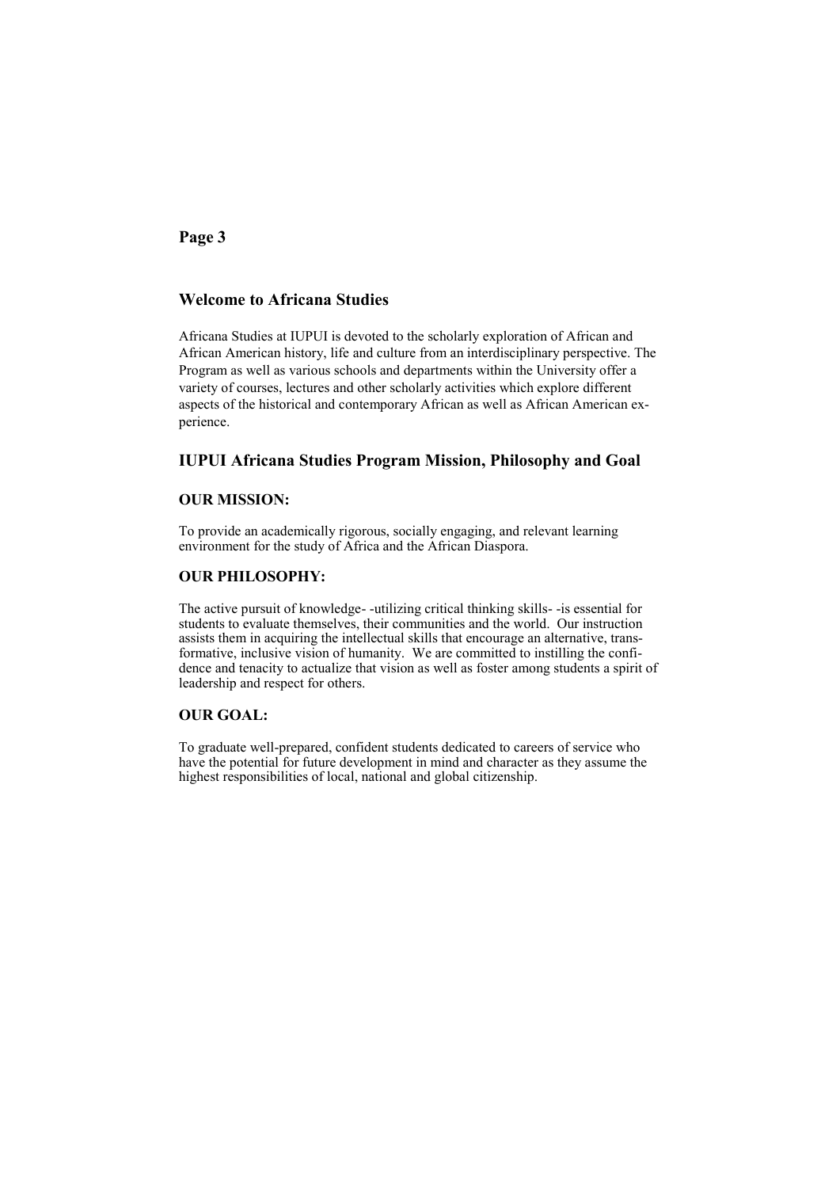### **Welcome to Africana Studies**

Africana Studies at IUPUI is devoted to the scholarly exploration of African and African American history, life and culture from an interdisciplinary perspective. The Program as well as various schools and departments within the University offer a variety of courses, lectures and other scholarly activities which explore different aspects of the historical and contemporary African as well as African American experience.

### **IUPUI Africana Studies Program Mission, Philosophy and Goal**

#### **OUR MISSION:**

To provide an academically rigorous, socially engaging, and relevant learning environment for the study of Africa and the African Diaspora.

#### **OUR PHILOSOPHY:**

The active pursuit of knowledge- -utilizing critical thinking skills- -is essential for students to evaluate themselves, their communities and the world. Our instruction assists them in acquiring the intellectual skills that encourage an alternative, transformative, inclusive vision of humanity. We are committed to instilling the confidence and tenacity to actualize that vision as well as foster among students a spirit of leadership and respect for others.

#### **OUR GOAL:**

To graduate well-prepared, confident students dedicated to careers of service who have the potential for future development in mind and character as they assume the highest responsibilities of local, national and global citizenship.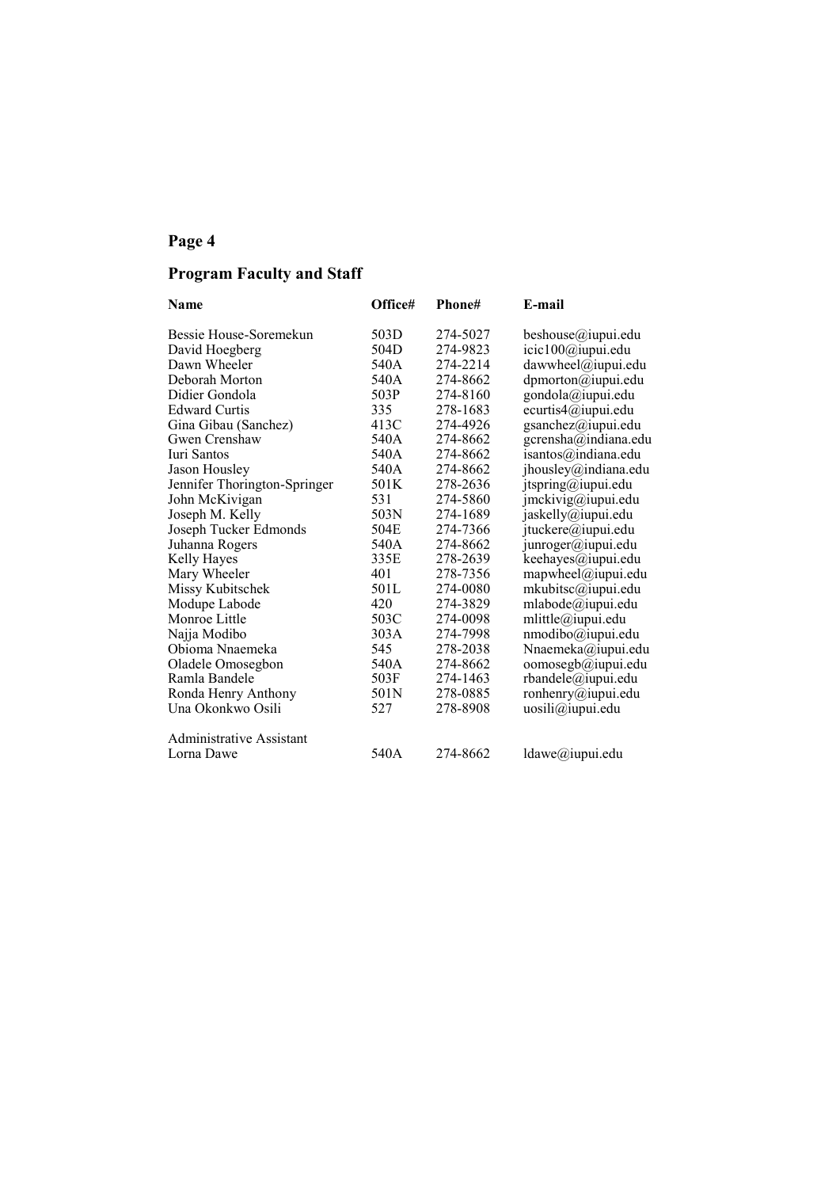# **Program Faculty and Staff**

| <b>Name</b>                  | Office# | Phone#   | E-mail               |
|------------------------------|---------|----------|----------------------|
| Bessie House-Soremekun       | 503D    | 274-5027 | beshouse@iupui.edu   |
| David Hoegberg               | 504D    | 274-9823 | icic100@iupui.edu    |
| Dawn Wheeler                 | 540A    | 274-2214 | dawwheel@iupui.edu   |
| Deborah Morton               | 540A    | 274-8662 | dpmorton@iupui.edu   |
| Didier Gondola               | 503P    | 274-8160 | gondola@iupui.edu    |
| <b>Edward Curtis</b>         | 335     | 278-1683 | ecurtis4@iupui.edu   |
| Gina Gibau (Sanchez)         | 413C    | 274-4926 | gsanchez@iupui.edu   |
| Gwen Crenshaw                | 540A    | 274-8662 | gcrensha@indiana.edu |
| Iuri Santos                  | 540A    | 274-8662 | isantos@indiana.edu  |
| Jason Housley                | 540A    | 274-8662 | jhousley@indiana.edu |
| Jennifer Thorington-Springer | 501K    | 278-2636 | jtspring@iupui.edu   |
| John McKivigan               | 531     | 274-5860 | jmckivig@iupui.edu   |
| Joseph M. Kelly              | 503N    | 274-1689 | jaskelly@iupui.edu   |
| Joseph Tucker Edmonds        | 504E    | 274-7366 | jtuckere@iupui.edu   |
| Juhanna Rogers               | 540A    | 274-8662 | junroger@iupui.edu   |
| Kelly Hayes                  | 335E    | 278-2639 | keehayes@iupui.edu   |
| Mary Wheeler                 | 401     | 278-7356 | mapwheel@iupui.edu   |
| Missy Kubitschek             | 501L    | 274-0080 | mkubitsc@iupui.edu   |
| Modupe Labode                | 420     | 274-3829 | mlabode@iupui.edu    |
| Monroe Little                | 503C    | 274-0098 | mlittle@iupui.edu    |
| Najja Modibo                 | 303A    | 274-7998 | nmodibo@iupui.edu    |
| Obioma Nnaemeka              | 545     | 278-2038 | Nnaemeka@iupui.edu   |
| Oladele Omosegbon            | 540A    | 274-8662 | oomosegb@iupui.edu   |
| Ramla Bandele                | 503F    | 274-1463 | rbandele@iupui.edu   |
| Ronda Henry Anthony          | 501N    | 278-0885 | ronhenry@iupui.edu   |
| Una Okonkwo Osili            | 527     | 278-8908 | uosili@iupui.edu     |
| Administrative Assistant     |         |          |                      |
| Lorna Dawe                   | 540A    | 274-8662 | ldawe@iupui.edu      |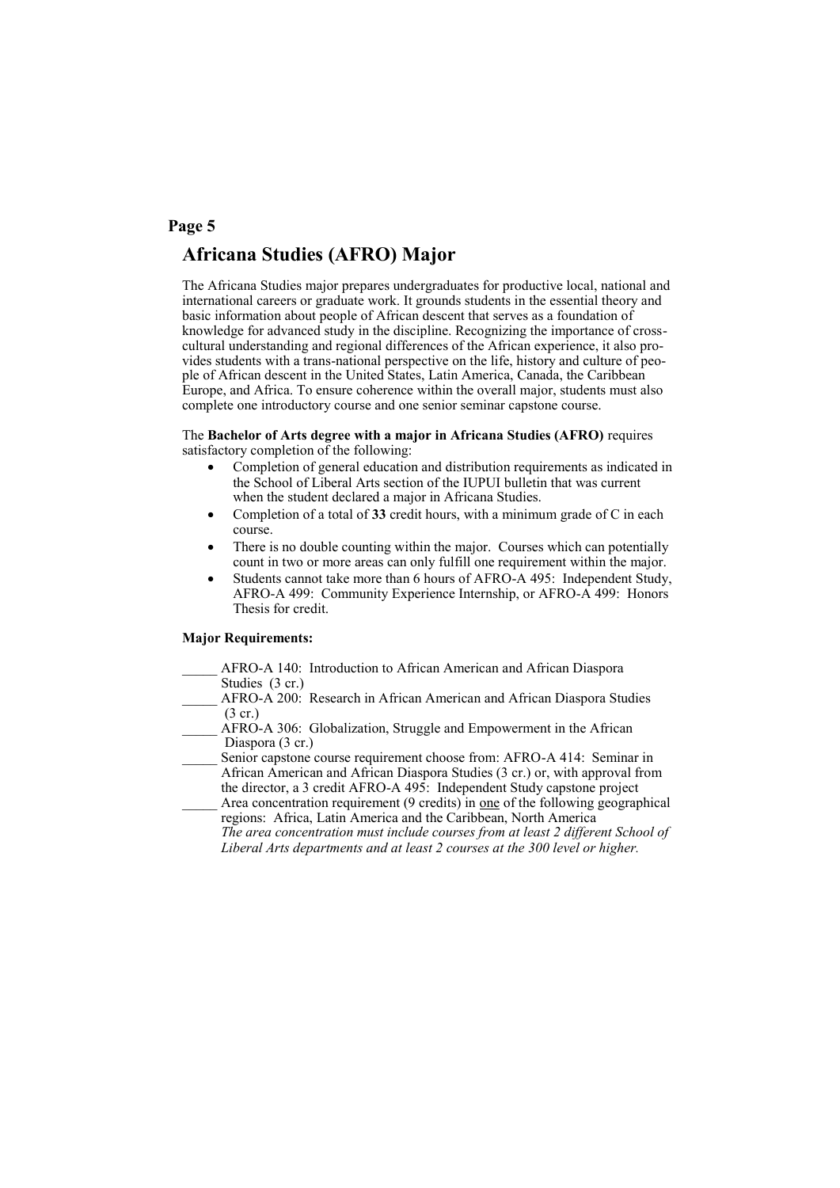# **Africana Studies (AFRO) Major**

The Africana Studies major prepares undergraduates for productive local, national and international careers or graduate work. It grounds students in the essential theory and basic information about people of African descent that serves as a foundation of knowledge for advanced study in the discipline. Recognizing the importance of crosscultural understanding and regional differences of the African experience, it also provides students with a trans-national perspective on the life, history and culture of people of African descent in the United States, Latin America, Canada, the Caribbean Europe, and Africa. To ensure coherence within the overall major, students must also complete one introductory course and one senior seminar capstone course.

The **Bachelor of Arts degree with a major in Africana Studies (AFRO)** requires satisfactory completion of the following:

- Completion of general education and distribution requirements as indicated in the School of Liberal Arts section of the IUPUI bulletin that was current when the student declared a major in Africana Studies.
- Completion of a total of **33** credit hours, with a minimum grade of C in each course.
- There is no double counting within the major. Courses which can potentially count in two or more areas can only fulfill one requirement within the major.
- Students cannot take more than 6 hours of AFRO-A 495: Independent Study, AFRO-A 499: Community Experience Internship, or AFRO-A 499: Honors Thesis for credit.

#### **Major Requirements:**

- \_\_\_\_\_ AFRO-A 140: Introduction to African American and African Diaspora Studies (3 cr.)
- AFRO-A 200: Research in African American and African Diaspora Studies (3 cr.)
- AFRO-A 306: Globalization, Struggle and Empowerment in the African Diaspora (3 cr.)
- Senior capstone course requirement choose from: AFRO-A 414: Seminar in African American and African Diaspora Studies (3 cr.) or, with approval from the director, a 3 credit AFRO-A 495: Independent Study capstone project
- Area concentration requirement (9 credits) in one of the following geographical regions: Africa, Latin America and the Caribbean, North America  *The area concentration must include courses from at least 2 different School of* 
	- *Liberal Arts departments and at least 2 courses at the 300 level or higher.*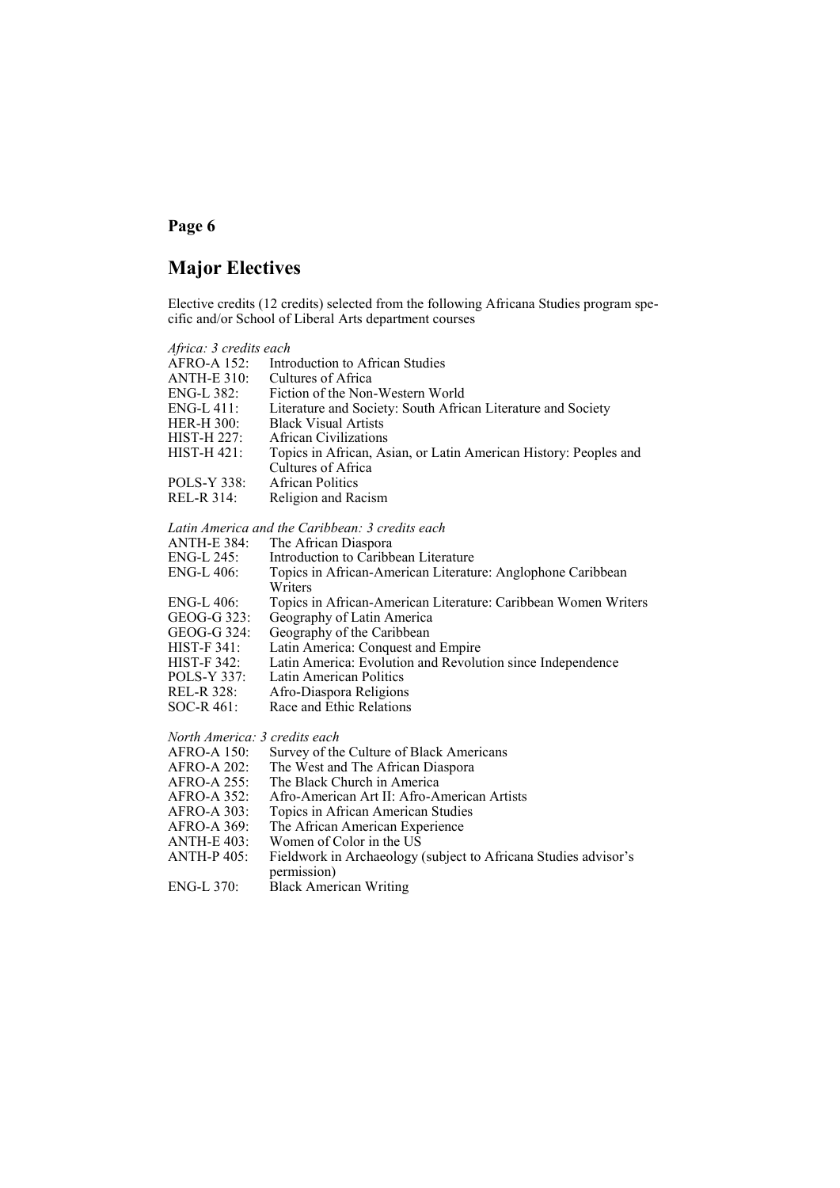# **Major Electives**

Elective credits (12 credits) selected from the following Africana Studies program specific and/or School of Liberal Arts department courses

| Africa: 3 credits each        |                                                                  |
|-------------------------------|------------------------------------------------------------------|
| <b>AFRO-A 152:</b>            | Introduction to African Studies                                  |
| <b>ANTH-E 310:</b>            | Cultures of Africa                                               |
| ENG-L 382:                    | Fiction of the Non-Western World                                 |
| $ENG-L$ 411:                  | Literature and Society: South African Literature and Society     |
| <b>HER-H 300:</b>             | <b>Black Visual Artists</b>                                      |
| HIST-H 227:                   | <b>African Civilizations</b>                                     |
| HIST-H 421:                   | Topics in African, Asian, or Latin American History: Peoples and |
|                               | Cultures of Africa                                               |
| <b>POLS-Y 338:</b>            | <b>African Politics</b>                                          |
| <b>REL-R 314:</b>             | Religion and Racism                                              |
|                               |                                                                  |
|                               | Latin America and the Caribbean: 3 credits each                  |
| <b>ANTH-E 384:</b>            | The African Diaspora                                             |
| ENG-L 245:                    | Introduction to Caribbean Literature                             |
| ENG-L 406:                    | Topics in African-American Literature: Anglophone Caribbean      |
|                               | Writers                                                          |
| $ENG-L$ 406:                  | Topics in African-American Literature: Caribbean Women Writers   |
| GEOG-G 323:                   | Geography of Latin America                                       |
| GEOG-G 324:                   | Geography of the Caribbean                                       |
| $HIST-F 341$ :                | Latin America: Conquest and Empire                               |
| <b>HIST-F 342:</b>            | Latin America: Evolution and Revolution since Independence       |
| <b>POLS-Y 337:</b>            | Latin American Politics                                          |
| REL-R 328:                    | Afro-Diaspora Religions                                          |
| SOC-R 461:                    | Race and Ethic Relations                                         |
| North America: 3 credits each |                                                                  |
| <b>AFRO-A 150:</b>            | Survey of the Culture of Black Americans                         |
| AFRO-A 202:                   | The West and The African Diaspora                                |
| AFRO-A 255:                   | The Black Church in America                                      |
| AFRO-A 352:                   | Afro-American Art II: Afro-American Artists                      |
| <b>AFRO-A 303:</b>            | Topics in African American Studies                               |
| AFRO-A 369:                   | The African American Experience                                  |
| <b>ANTH-E 403:</b>            | Women of Color in the US                                         |
| <b>ANTH-P405:</b>             | Fieldwork in Archaeology (subject to Africana Studies advisor's  |

permission) ENG-L 370: Black American Writing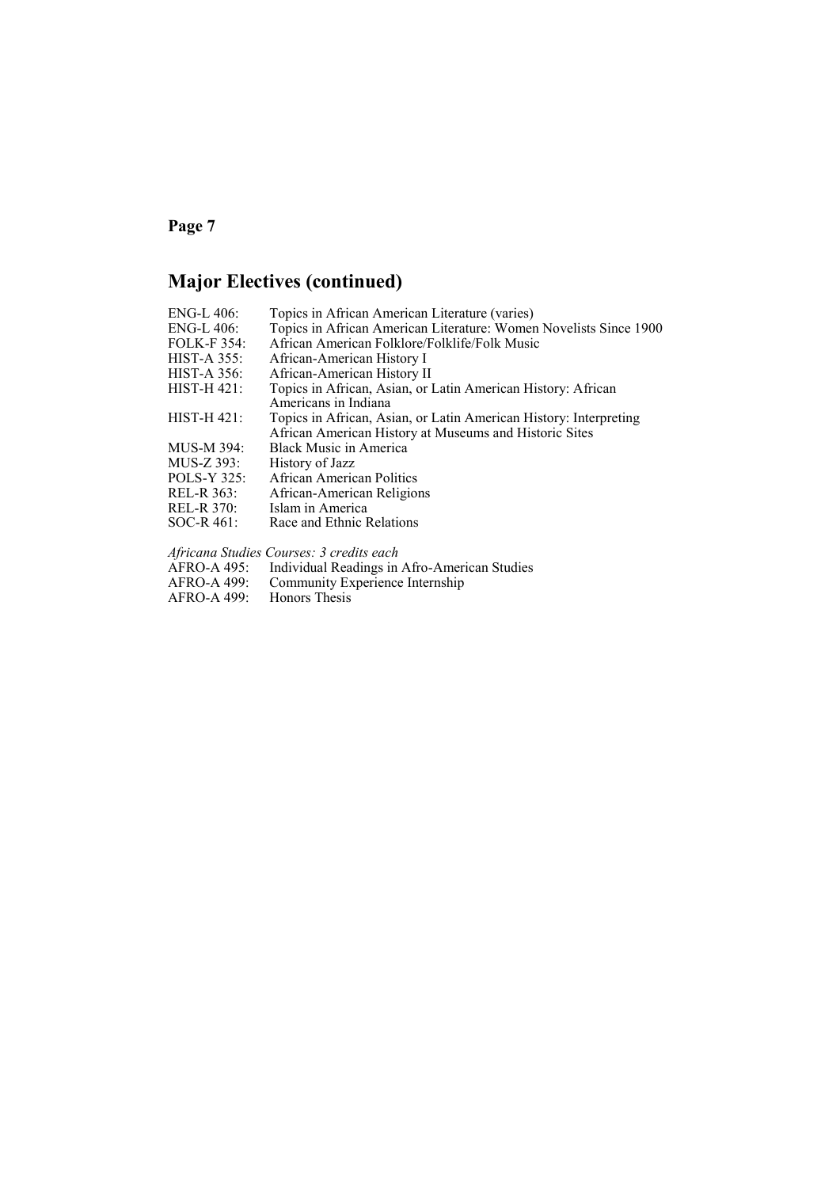# **Major Electives (continued)**

| ENG-L 406:         | Topics in African American Literature (varies)                    |
|--------------------|-------------------------------------------------------------------|
| ENG-L 406:         | Topics in African American Literature: Women Novelists Since 1900 |
| <b>FOLK-F354:</b>  | African American Folklore/Folklife/Folk Music                     |
| <b>HIST-A 355:</b> | African-American History I                                        |
| <b>HIST-A 356:</b> | African-American History II                                       |
| <b>HIST-H 421:</b> | Topics in African, Asian, or Latin American History: African      |
|                    | Americans in Indiana                                              |
| <b>HIST-H 421:</b> | Topics in African, Asian, or Latin American History: Interpreting |
|                    | African American History at Museums and Historic Sites            |
| MUS-M 394:         | Black Music in America                                            |
| MUS-Z 393:         | History of Jazz                                                   |
| <b>POLS-Y 325:</b> | African American Politics                                         |
| REL-R 363:         | African-American Religions                                        |
| REL-R 370:         | Islam in America                                                  |
| $SOC-R$ 461:       | Race and Ethnic Relations                                         |
|                    |                                                                   |

*Africana Studies Courses: 3 credits each*

| AFRO-A 495: | Individual Readings in Afro-American Studies |  |
|-------------|----------------------------------------------|--|
|-------------|----------------------------------------------|--|

- AFRO-A 499: Community Experience Internship
- AFRO-A 499:<br>AFRO-A 499: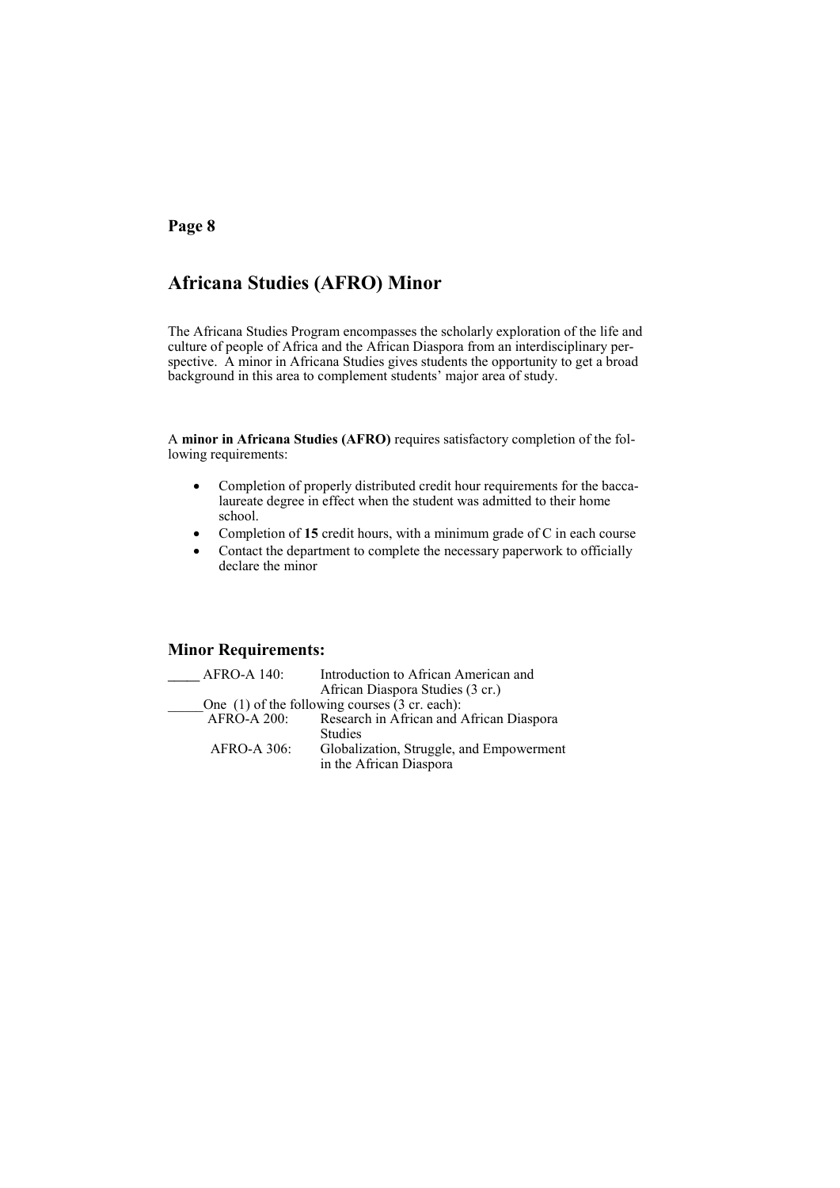# **Africana Studies (AFRO) Minor**

The Africana Studies Program encompasses the scholarly exploration of the life and culture of people of Africa and the African Diaspora from an interdisciplinary perspective. A minor in Africana Studies gives students the opportunity to get a broad background in this area to complement students' major area of study.

A **minor in Africana Studies (AFRO)** requires satisfactory completion of the following requirements:

- Completion of properly distributed credit hour requirements for the baccalaureate degree in effect when the student was admitted to their home school.
- Completion of **15** credit hours, with a minimum grade of C in each course
- Contact the department to complete the necessary paperwork to officially declare the minor

### **Minor Requirements:**

| <b>AFRO-A 140:</b> | Introduction to African American and                        |
|--------------------|-------------------------------------------------------------|
|                    | African Diaspora Studies (3 cr.)                            |
|                    | One $(1)$ of the following courses $(3 \text{ cr. each})$ : |
| <b>AFRO-A 200:</b> | Research in African and African Diaspora                    |
|                    | <b>Studies</b>                                              |
| $AFRO-A 306$ :     | Globalization, Struggle, and Empowerment                    |
|                    | in the African Diaspora                                     |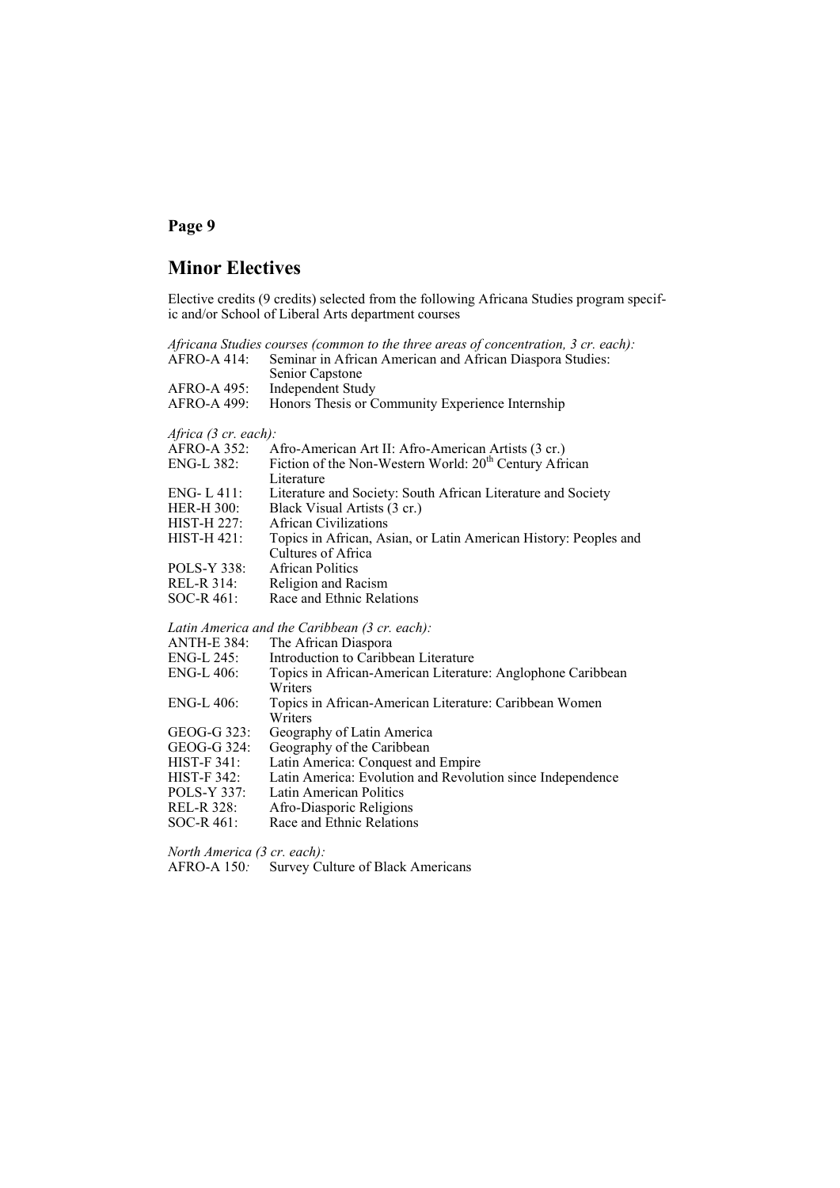# **Minor Electives**

Elective credits (9 credits) selected from the following Africana Studies program specific and/or School of Liberal Arts department courses

|                      | Africana Studies courses (common to the three areas of concentration, 3 cr. each): |
|----------------------|------------------------------------------------------------------------------------|
| AFRO-A 414:          | Seminar in African American and African Diaspora Studies:                          |
|                      | Senior Capstone                                                                    |
| AFRO-A 495:          | <b>Independent Study</b>                                                           |
| AFRO-A 499:          | Honors Thesis or Community Experience Internship                                   |
| Africa (3 cr. each): |                                                                                    |
| AFRO-A 352:          | Afro-American Art II: Afro-American Artists (3 cr.)                                |
| ENG-L 382:           | Fiction of the Non-Western World: 20 <sup>th</sup> Century African                 |
|                      | Literature                                                                         |
| ENG-L411:            | Literature and Society: South African Literature and Society                       |
| HER-H 300:           | Black Visual Artists (3 cr.)                                                       |
| HIST-H 227:          | <b>African Civilizations</b>                                                       |
| HIST-H 421:          | Topics in African, Asian, or Latin American History: Peoples and                   |
|                      | Cultures of Africa                                                                 |
| POLS-Y 338:          | <b>African Politics</b>                                                            |
| REL-R 314:           | Religion and Racism                                                                |
| SOC-R 461:           | Race and Ethnic Relations                                                          |
|                      | Latin America and the Caribbean (3 cr. each):                                      |
| ANTH-E 384:          | The African Diaspora                                                               |
| ENG-L 245:           | Introduction to Caribbean Literature                                               |
| ENG-L 406:           | Topics in African-American Literature: Anglophone Caribbean                        |
|                      | Writers                                                                            |
| ENG-L 406:           | Topics in African-American Literature: Caribbean Women                             |
|                      | Writers                                                                            |
| GEOG-G 323:          | Geography of Latin America                                                         |
| GEOG-G 324:          | Geography of the Caribbean                                                         |
| HIST-F 341:          | Latin America: Conquest and Empire                                                 |
| <b>HIST-F 342:</b>   | Latin America: Evolution and Revolution since Independence                         |
| POLS-Y 337:          | Latin American Politics                                                            |
| REL-R 328:           | Afro-Diasporic Religions                                                           |
| SOC-R 461:           | Race and Ethnic Relations                                                          |

*North America (3 cr. each):* 

AFRO-A 150: Survey Culture of Black Americans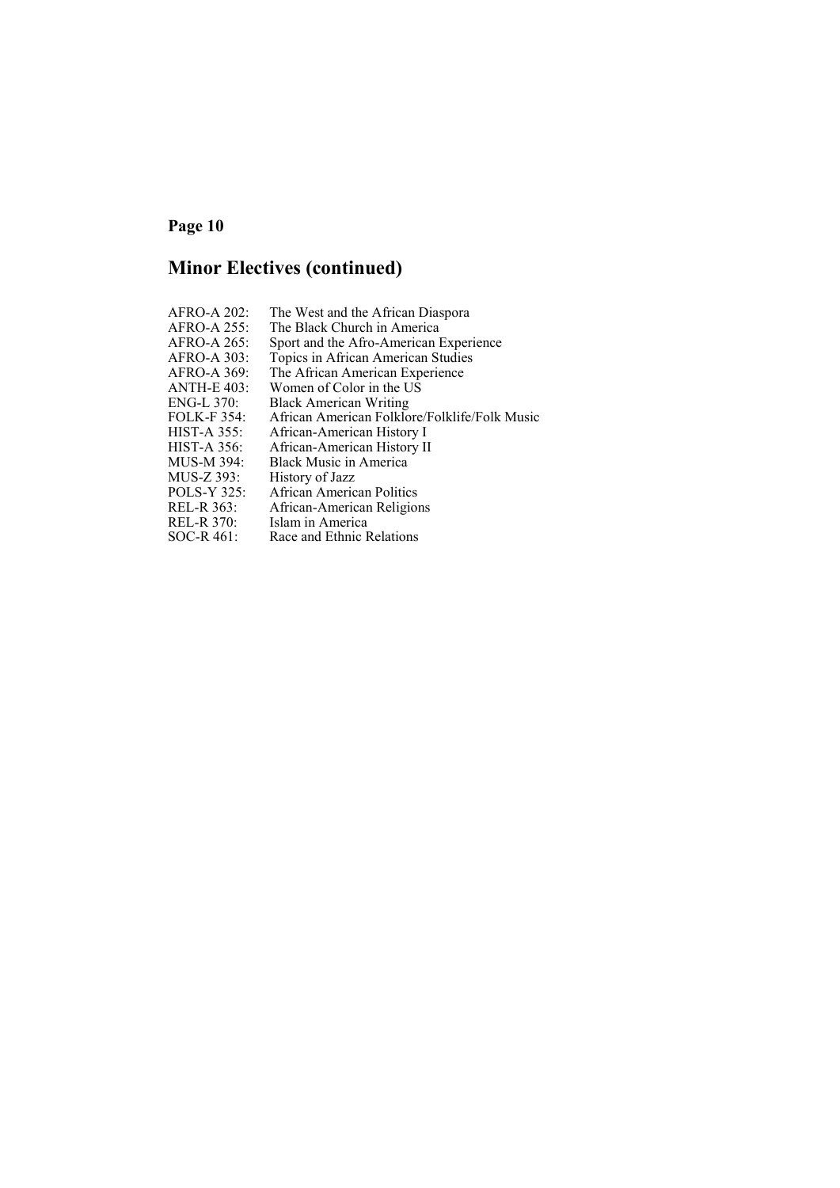# **Minor Electives (continued)**

| AFRO-A 202:        | The West and the African Diaspora             |
|--------------------|-----------------------------------------------|
| AFRO-A 255:        | The Black Church in America                   |
| AFRO-A 265:        | Sport and the Afro-American Experience        |
| AFRO-A 303:        | Topics in African American Studies            |
| AFRO-A 369:        | The African American Experience               |
| <b>ANTH-E 403:</b> | Women of Color in the US                      |
| $ENG-L$ 370:       | <b>Black American Writing</b>                 |
| <b>FOLK-F354:</b>  | African American Folklore/Folklife/Folk Music |
| <b>HIST-A 355:</b> | African-American History I                    |
| $HIST-A 356$ :     | African-American History II                   |
| MUS-M 394:         | <b>Black Music in America</b>                 |
| MUS-Z 393:         | History of Jazz                               |
| POLS-Y 325:        | African American Politics                     |
| REL-R 363:         | African-American Religions                    |
| <b>REL-R 370:</b>  | Islam in America                              |
| $SOC-R 461:$       | Race and Ethnic Relations                     |
|                    |                                               |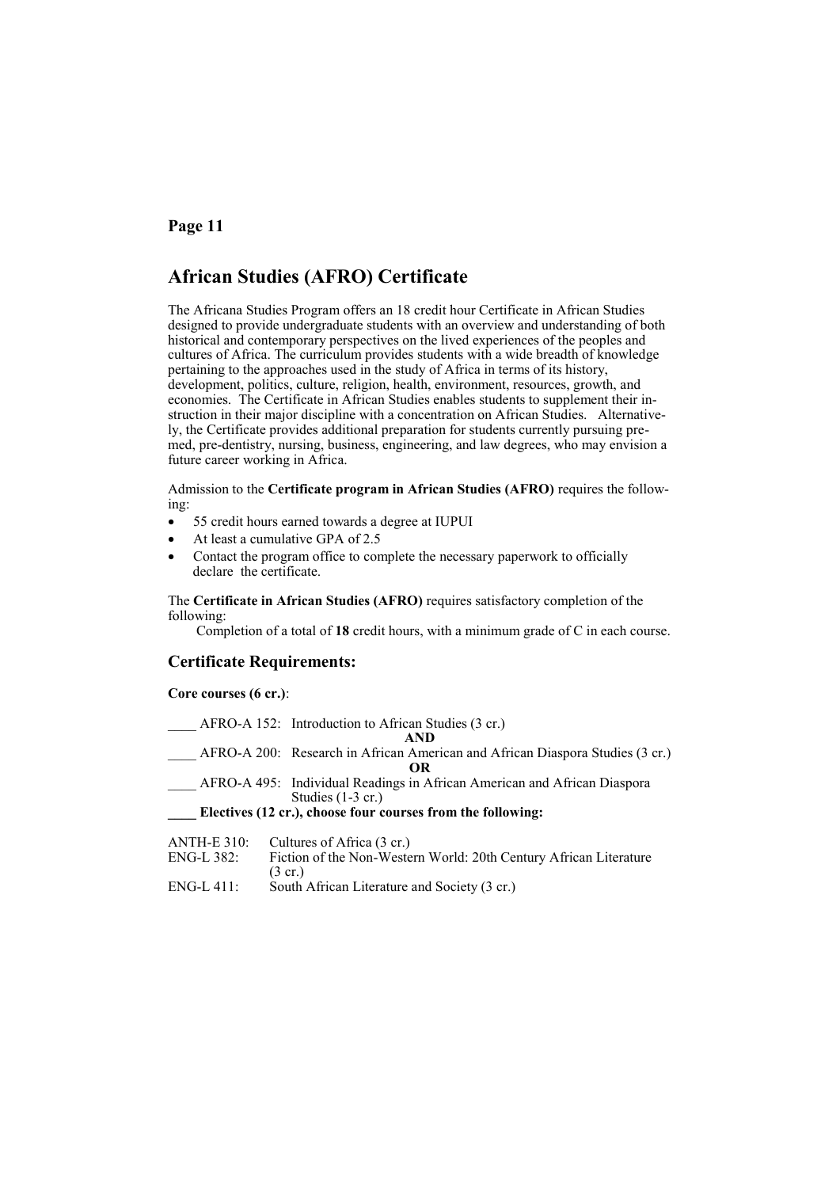# **African Studies (AFRO) Certificate**

The Africana Studies Program offers an 18 credit hour Certificate in African Studies designed to provide undergraduate students with an overview and understanding of both historical and contemporary perspectives on the lived experiences of the peoples and cultures of Africa. The curriculum provides students with a wide breadth of knowledge pertaining to the approaches used in the study of Africa in terms of its history, development, politics, culture, religion, health, environment, resources, growth, and economies. The Certificate in African Studies enables students to supplement their instruction in their major discipline with a concentration on African Studies. Alternatively, the Certificate provides additional preparation for students currently pursuing premed, pre-dentistry, nursing, business, engineering, and law degrees, who may envision a future career working in Africa.

Admission to the **Certificate program in African Studies (AFRO)** requires the following:

- 55 credit hours earned towards a degree at IUPUI
- At least a cumulative GPA of 2.5
- Contact the program office to complete the necessary paperwork to officially declare the certificate.

The **Certificate in African Studies (AFRO)** requires satisfactory completion of the following:

Completion of a total of **18** credit hours, with a minimum grade of C in each course.

#### **Certificate Requirements:**

#### **Core courses (6 cr.)**:

|                    | AFRO-A 152: Introduction to African Studies (3 cr.)                                                                                                             |
|--------------------|-----------------------------------------------------------------------------------------------------------------------------------------------------------------|
|                    | AND.                                                                                                                                                            |
|                    | AFRO-A 200: Research in African American and African Diaspora Studies (3 cr.)                                                                                   |
|                    | OR                                                                                                                                                              |
|                    | AFRO-A 495: Individual Readings in African American and African Diaspora                                                                                        |
|                    | Studies $(1-3 \text{ cr.})$                                                                                                                                     |
|                    | Electives (12 cr.), choose four courses from the following:                                                                                                     |
| <b>ANTH-E 310:</b> | Cultures of Africa (3 cr.)                                                                                                                                      |
| <b>PAIC L.300</b>  | $\mathbf{F}^{t}$ is called the $\mathbf{W}^{t}$ is $\mathbf{W}^{t}$ and $\mathbf{A}^{t}$ and $\mathbf{A}^{t}$ are $\mathbf{F}^{t}$ is a set of $\mathbf{W}^{t}$ |

| ENG-L 382: | Fiction of the Non-Western World: 20th Century African Literature |
|------------|-------------------------------------------------------------------|
|            | $(3 \text{ cr.})$                                                 |
| ENG-L 411: | South African Literature and Society (3 cr.)                      |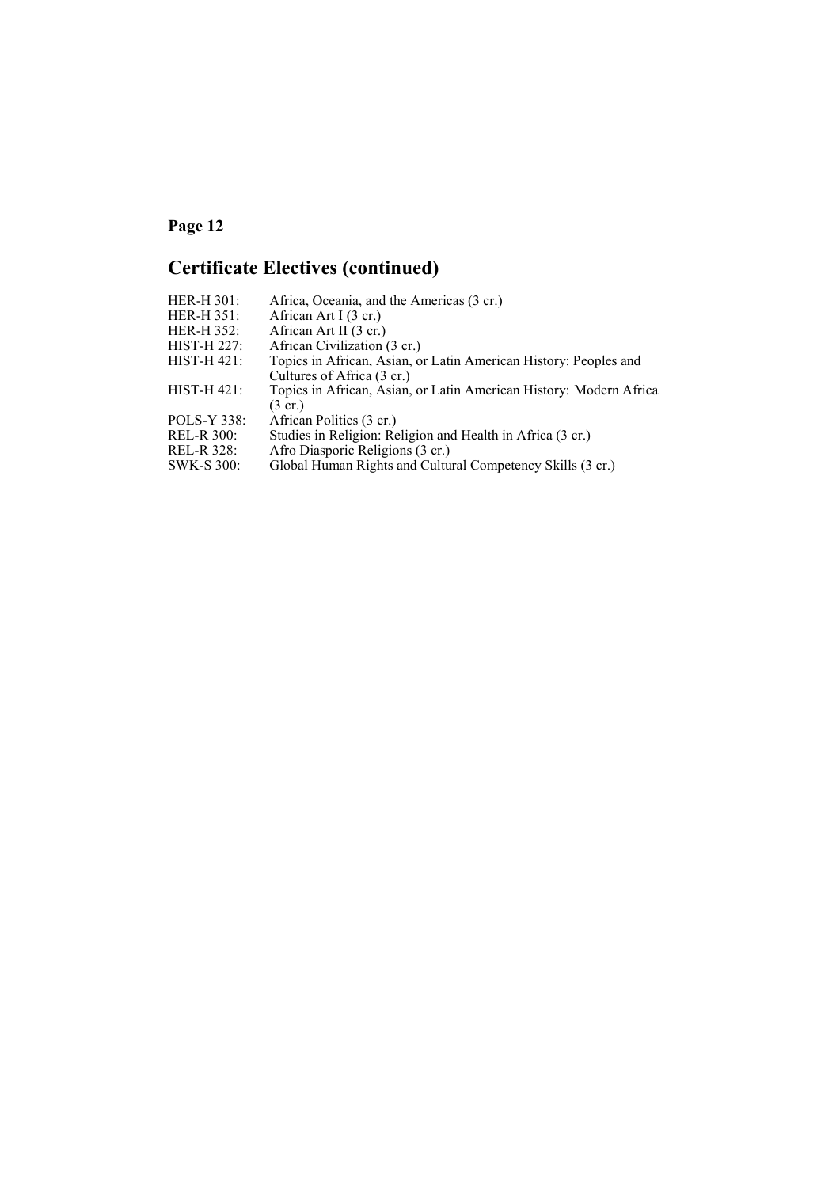# **Certificate Electives (continued)**

| Africa, Oceania, and the Americas (3 cr.)<br><b>HER-H 301:</b>                       |  |
|--------------------------------------------------------------------------------------|--|
| African Art I (3 cr.)<br>$HER-H 351:$                                                |  |
| HER-H 352:<br>African Art II (3 cr.)                                                 |  |
| African Civilization (3 cr.)<br>HIST-H 227:                                          |  |
| $HIST-H 421$ :<br>Topics in African, Asian, or Latin American History: Peoples and   |  |
| Cultures of Africa (3 cr.)                                                           |  |
| $HIST-H 421$ :<br>Topics in African, Asian, or Latin American History: Modern Africa |  |
| $(3 \text{ cr.})$                                                                    |  |
| POLS-Y 338:<br>African Politics (3 cr.)                                              |  |
| Studies in Religion: Religion and Health in Africa (3 cr.)<br><b>REL-R 300:</b>      |  |
| REL-R 328:<br>Afro Diasporic Religions (3 cr.)                                       |  |
| Global Human Rights and Cultural Competency Skills (3 cr.)<br><b>SWK-S 300:</b>      |  |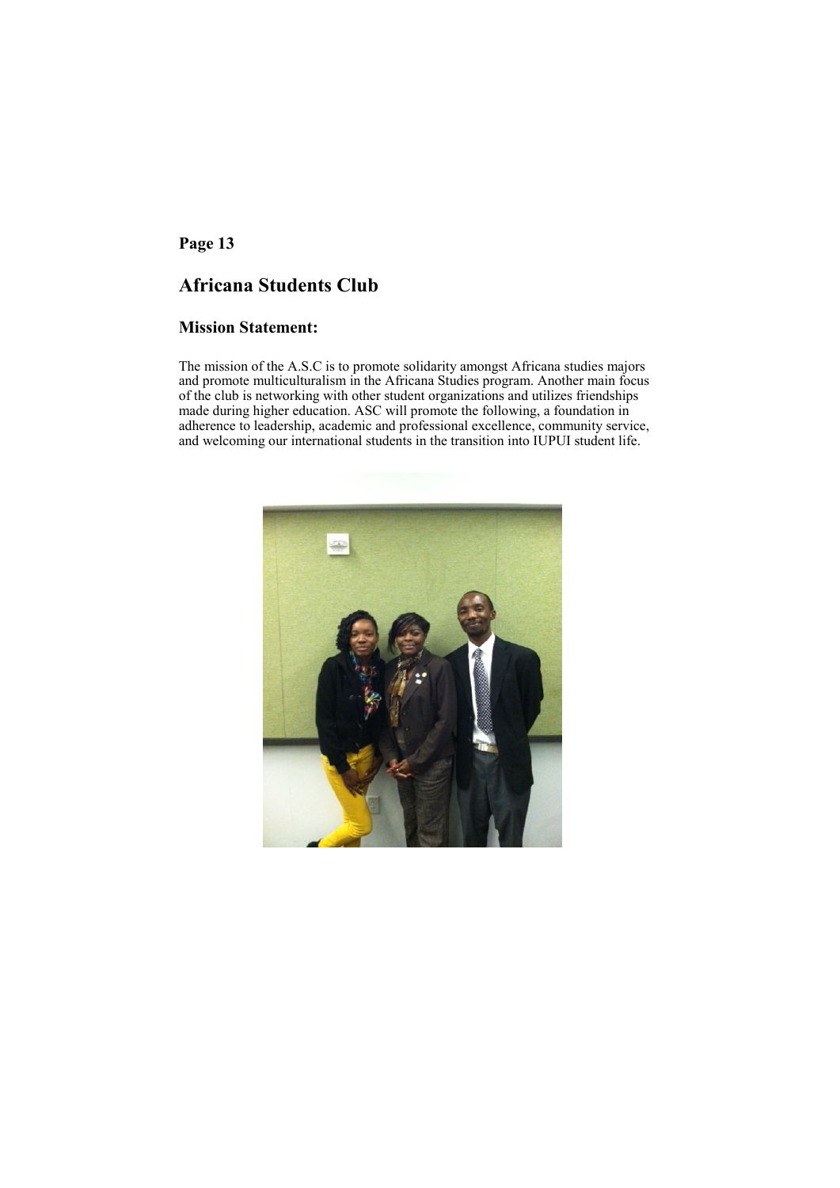# **Africana Students Club**

### **Mission Statement:**

The mission of the A.S.C is to promote solidarity amongst Africana studies majors and promote multiculturalism in the Africana Studies program. Another main focus of the club is networking with other student organizations and utilizes friendships made during higher education. ASC will promote the following, a foundation in adherence to leadership, academic and professional excellence, community service, and welcoming our international students in the transition into IUPUI student life.

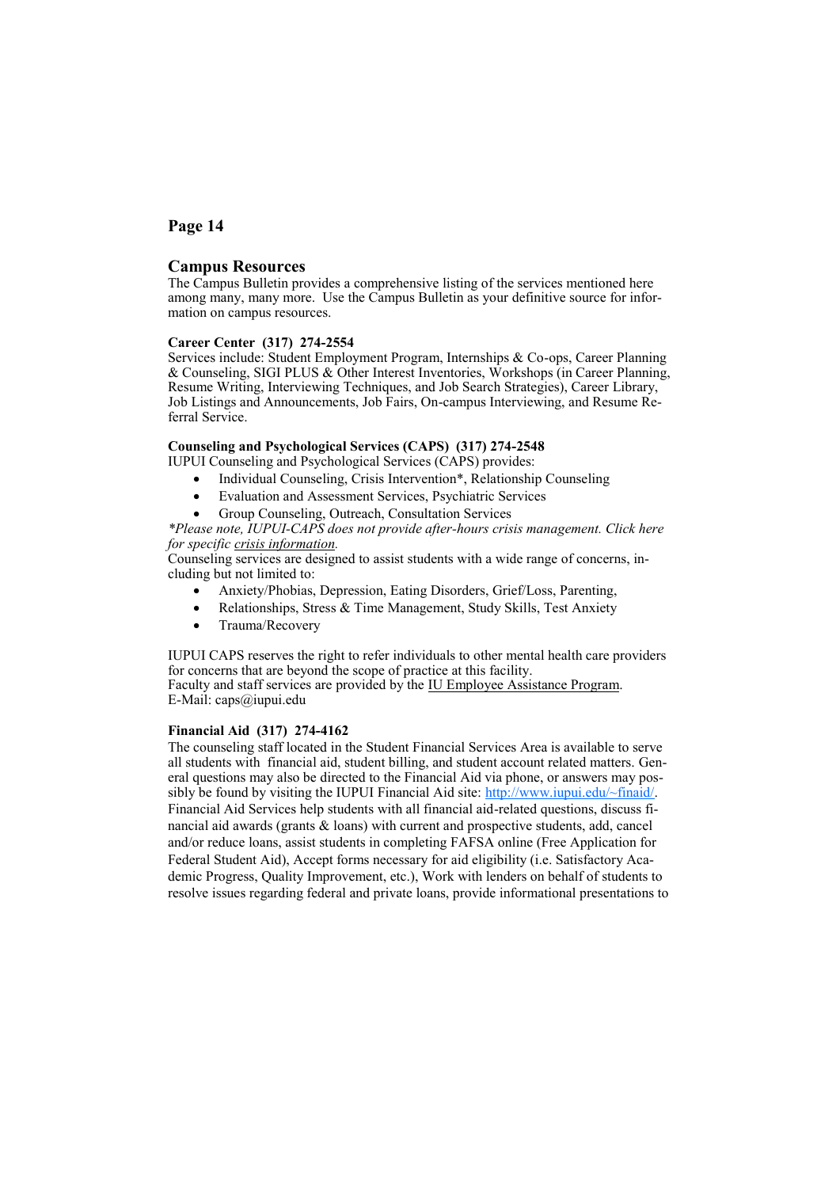#### **Campus Resources**

The Campus Bulletin provides a comprehensive listing of the services mentioned here among many, many more. Use the Campus Bulletin as your definitive source for information on campus resources.

#### **Career Center (317) 274-2554**

Services include: Student Employment Program, Internships & Co-ops, Career Planning & Counseling, SIGI PLUS & Other Interest Inventories, Workshops (in Career Planning, Resume Writing, Interviewing Techniques, and Job Search Strategies), Career Library, Job Listings and Announcements, Job Fairs, On-campus Interviewing, and Resume Referral Service.

#### **Counseling and Psychological Services (CAPS) (317) 274-2548**

- IUPUI Counseling and Psychological Services (CAPS) provides:
	- Individual Counseling, Crisis Intervention<sup>\*</sup>, Relationship Counseling
	- Evaluation and Assessment Services, Psychiatric Services
	- Group Counseling, Outreach, Consultation Services

*\*Please note, IUPUI-CAPS does not provide after-hours crisis management. Click here for specific [crisis information.](http://life.iupui.edu/caps/help/suicide.html)*

Counseling services are designed to assist students with a wide range of concerns, including but not limited to:

- Anxiety/Phobias, Depression, Eating Disorders, Grief/Loss, Parenting,
- Relationships, Stress & Time Management, Study Skills, Test Anxiety
- Trauma/Recovery

IUPUI CAPS reserves the right to refer individuals to other mental health care providers for concerns that are beyond the scope of practice at this facility. Faculty and staff services are provided by the [IU Employee Assistance Program.](http://www.indiana.edu/~uhrs/benefits/eap.html) E-Mail: caps@iupui.edu

**Financial Aid (317) 274-4162**

The counseling staff located in the Student Financial Services Area is available to serve all students with financial aid, student billing, and student account related matters. General questions may also be directed to the Financial Aid via phone, or answers may possibly be found by visiting the IUPUI Financial Aid site:  $\frac{http://www.iupui.edu/~final/}{http://www.iupui.edu/~final/})$ . Financial Aid Services help students with all financial aid-related questions, discuss financial aid awards (grants & loans) with current and prospective students, add, cancel and/or reduce loans, assist students in completing FAFSA online (Free Application for Federal Student Aid), Accept forms necessary for aid eligibility (i.e. Satisfactory Academic Progress, Quality Improvement, etc.), Work with lenders on behalf of students to resolve issues regarding federal and private loans, provide informational presentations to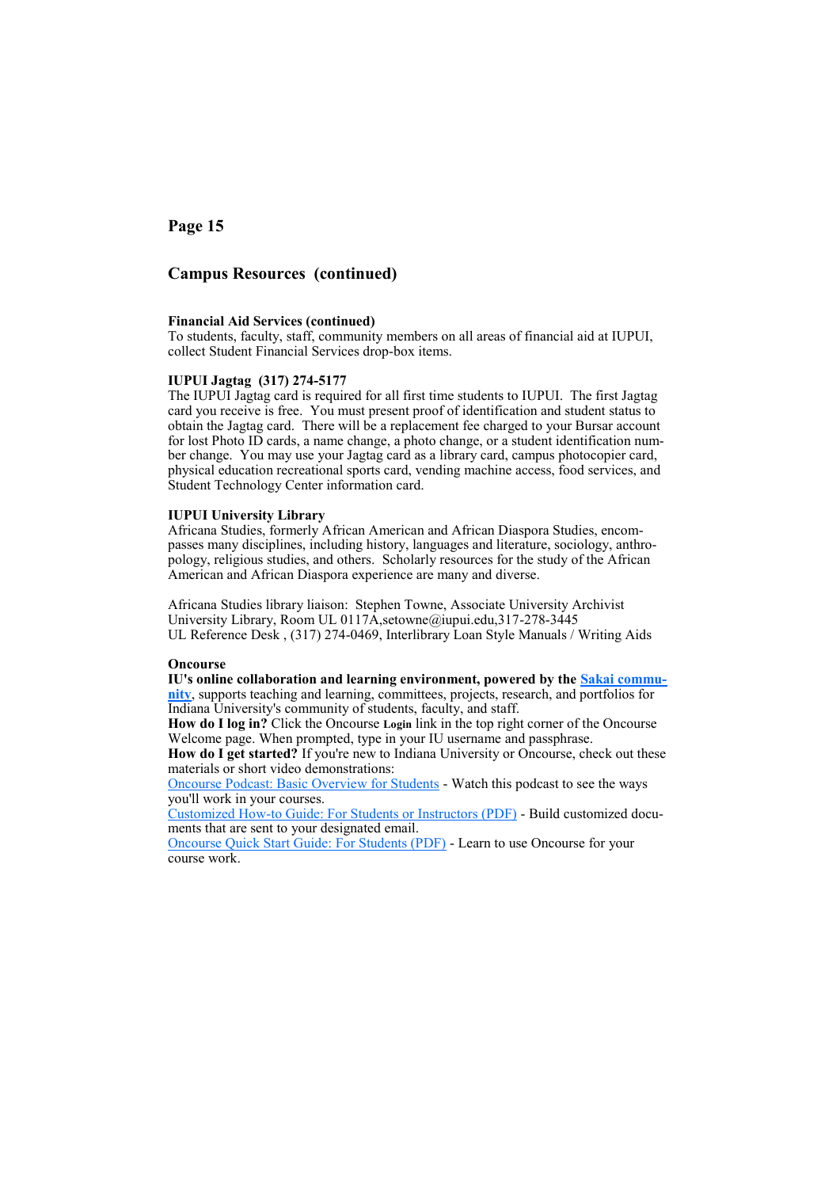### **Campus Resources (continued)**

#### **Financial Aid Services (continued)**

To students, faculty, staff, community members on all areas of financial aid at IUPUI, collect Student Financial Services drop-box items.

#### **IUPUI Jagtag (317) 274-5177**

The IUPUI Jagtag card is required for all first time students to IUPUI. The first Jagtag card you receive is free. You must present proof of identification and student status to obtain the Jagtag card. There will be a replacement fee charged to your Bursar account for lost Photo ID cards, a name change, a photo change, or a student identification number change. You may use your Jagtag card as a library card, campus photocopier card, physical education recreational sports card, vending machine access, food services, and Student Technology Center information card.

#### **IUPUI University Library**

Africana Studies, formerly African American and African Diaspora Studies, encompasses many disciplines, including history, languages and literature, sociology, anthropology, religious studies, and others. Scholarly resources for the study of the African American and African Diaspora experience are many and diverse.

Africana Studies library liaison: Stephen Towne, Associate University Archivist University Library, Room UL 0117A,setowne@iupui.edu,317-278-3445 UL Reference Desk , (317) 274-0469, Interlibrary Loan Style Manuals / Writing Aids

#### **Oncourse**

**IU's online collaboration and learning environment, powered by the [Sakai commu](http://sakaiproject.org/)[nity](http://sakaiproject.org/)**, supports teaching and learning, committees, projects, research, and portfolios for Indiana University's community of students, faculty, and staff.

**How do I log in?** Click the Oncourse **Login** link in the top right corner of the Oncourse Welcome page. When prompted, type in your IU username and passphrase.

How do I get started? If you're new to Indiana University or Oncourse, check out these materials or short video demonstrations:

[Oncourse Podcast: Basic Overview for Students](http://podcast.iu.edu/upload/UITSITEduc/184e4909-643f-4c9d-82cc-e38f35787899/oncourse_student_overview.mp4) - Watch this podcast to see the ways you'll work in your courses.

Customized How-[to Guide: For Students or Instructors \(PDF\)](http://ittraining.iu.edu/scripts/oncourse/pdfcreator/) - Build customized documents that are sent to your designated email.

[Oncourse Quick Start Guide: For Students \(PDF\)](http://www.indiana.edu/~ittrain/oncourse/workshops_materials/ONSTU.pdf) - Learn to use Oncourse for your course work.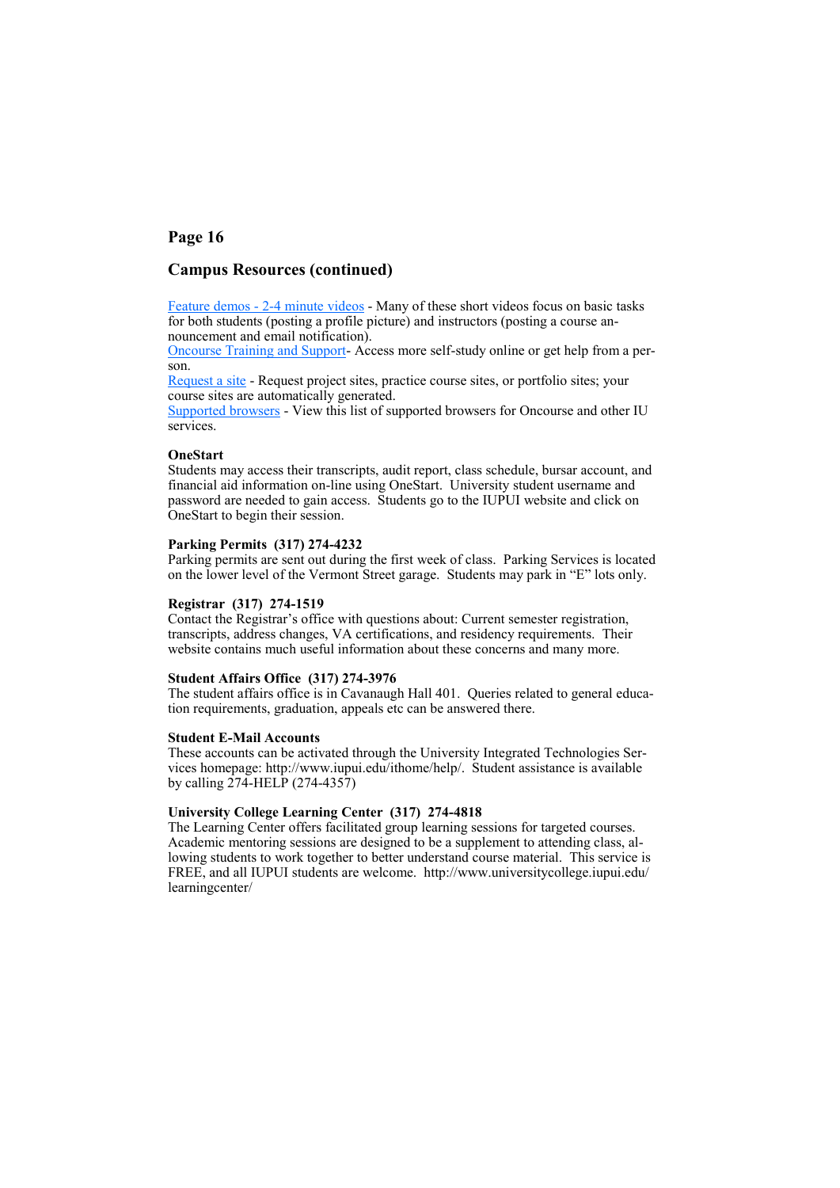### **Campus Resources (continued)**

Feature demos - 2-[4 minute videos](https://kb.iu.edu/data/arbl.html) - Many of these short videos focus on basic tasks for both students (posting a profile picture) and instructors (posting a course announcement and email notification).

Oncourse Training and Support- Access more self-study online or get help from a person.

[Request a site](https://oncourse.iu.edu/portal/site/!gateway/page/c4baddeb-28cd-40e2-001b-7287bbcee8c1) - Request project sites, practice course sites, or portfolio sites; your course sites are automatically generated.

[Supported browsers](https://kb.iu.edu/data/axgj.html) - View this list of supported browsers for Oncourse and other IU services.

#### **OneStart**

Students may access their transcripts, audit report, class schedule, bursar account, and financial aid information on-line using OneStart. University student username and password are needed to gain access. Students go to the IUPUI website and click on OneStart to begin their session.

#### **Parking Permits (317) 274-4232**

Parking permits are sent out during the first week of class. Parking Services is located on the lower level of the Vermont Street garage. Students may park in "E" lots only.

#### **Registrar (317) 274-1519**

Contact the Registrar's office with questions about: Current semester registration, transcripts, address changes, VA certifications, and residency requirements. Their website contains much useful information about these concerns and many more.

#### **Student Affairs Office (317) 274-3976**

The student affairs office is in Cavanaugh Hall 401. Queries related to general education requirements, graduation, appeals etc can be answered there.

#### **Student E-Mail Accounts**

These accounts can be activated through the University Integrated Technologies Services homepage: http://www.iupui.edu/ithome/help/. Student assistance is available by calling 274-HELP (274-4357)

#### **University College Learning Center (317) 274-4818**

The Learning Center offers facilitated group learning sessions for targeted courses. Academic mentoring sessions are designed to be a supplement to attending class, allowing students to work together to better understand course material. This service is FREE, and all IUPUI students are welcome. http://www.universitycollege.iupui.edu/ learningcenter/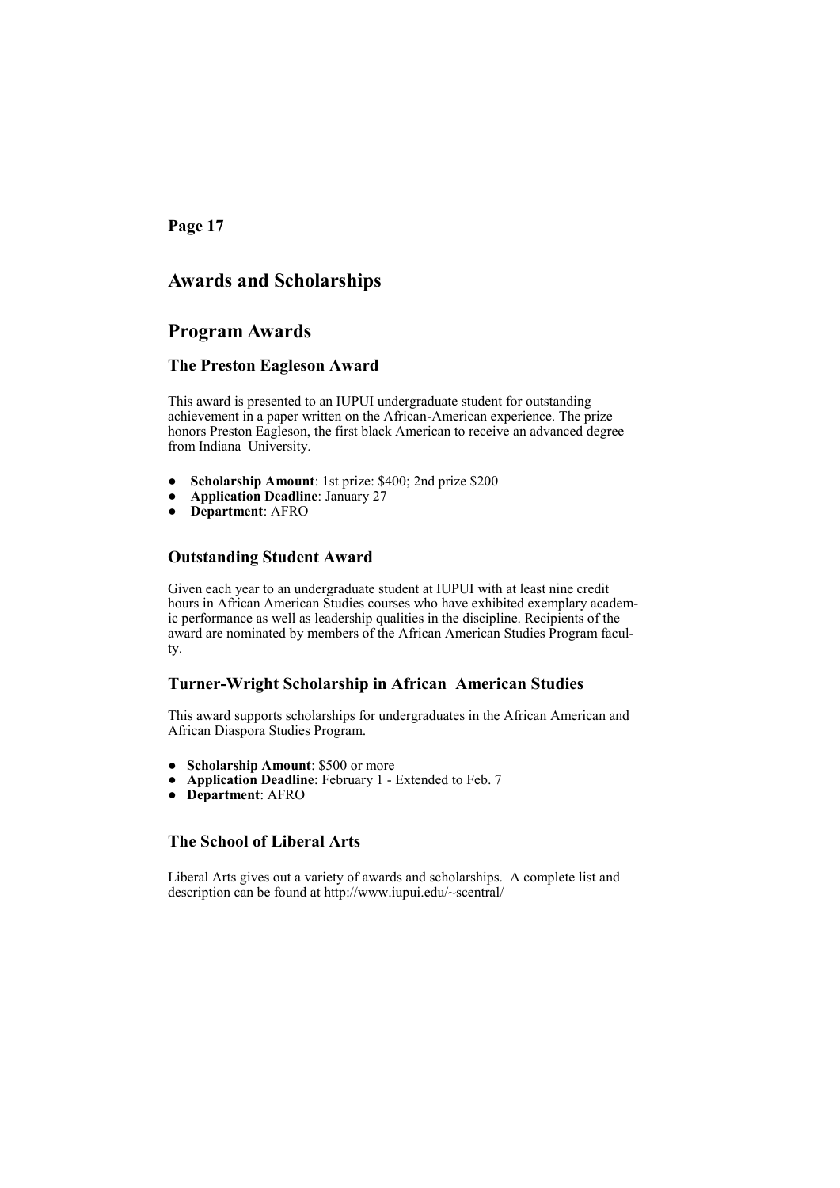# **Awards and Scholarships**

## **Program Awards**

### **The Preston Eagleson Award**

This award is presented to an IUPUI undergraduate student for outstanding achievement in a paper written on the African-American experience. The prize honors Preston Eagleson, the first black American to receive an advanced degree from Indiana University.

- **Scholarship Amount**: 1st prize: \$400; 2nd prize \$200
- **Application Deadline**: January 27
- **Department**: AFRO

### **Outstanding Student Award**

Given each year to an undergraduate student at IUPUI with at least nine credit hours in African American Studies courses who have exhibited exemplary academic performance as well as leadership qualities in the discipline. Recipients of the award are nominated by members of the African American Studies Program faculty.

### **Turner-Wright Scholarship in African American Studies**

This award supports scholarships for undergraduates in the African American and African Diaspora Studies Program.

- **Scholarship Amount**: \$500 or more
- Application Deadline: February 1 Extended to Feb. 7
- **Department**: AFRO

### **The School of Liberal Arts**

Liberal Arts gives out a variety of awards and scholarships. A complete list and description can be found at http://www.iupui.edu/~scentral/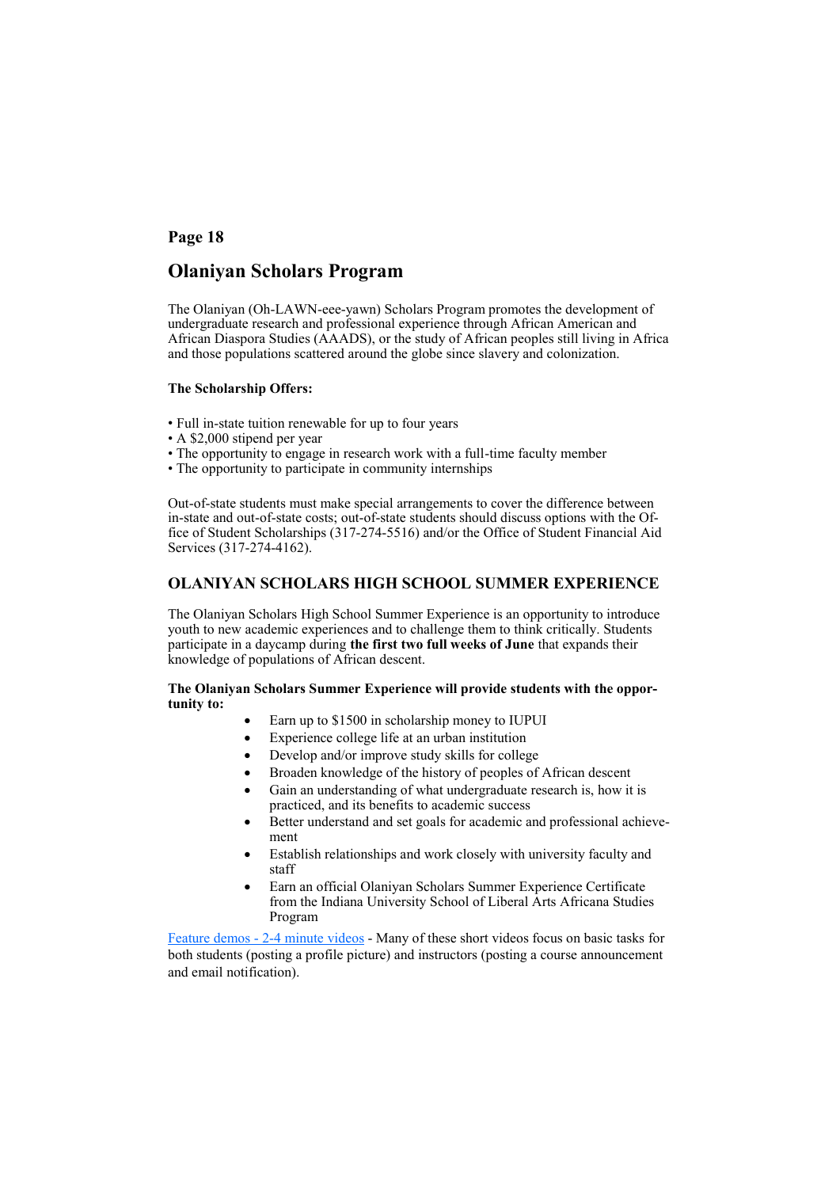# **Olaniyan Scholars Program**

The Olaniyan (Oh-LAWN-eee-yawn) Scholars Program promotes the development of undergraduate research and professional experience through African American and African Diaspora Studies (AAADS), or the study of African peoples still living in Africa and those populations scattered around the globe since slavery and colonization.

#### **The Scholarship Offers:**

- Full in-state tuition renewable for up to four years
- A \$2,000 stipend per year
- The opportunity to engage in research work with a full-time faculty member
- The opportunity to participate in community internships

Out-of-state students must make special arrangements to cover the difference between in-state and out-of-state costs; out-of-state students should discuss options with the Office of Student Scholarships (317-274-5516) and/or the Office of Student Financial Aid Services (317-274-4162).

#### **OLANIYAN SCHOLARS HIGH SCHOOL SUMMER EXPERIENCE**

The Olaniyan Scholars High School Summer Experience is an opportunity to introduce youth to new academic experiences and to challenge them to think critically. Students participate in a daycamp during **the first two full weeks of June** that expands their knowledge of populations of African descent.

#### **The Olaniyan Scholars Summer Experience will provide students with the opportunity to:**

- Earn up to \$1500 in scholarship money to IUPUI
- Experience college life at an urban institution
- Develop and/or improve study skills for college
- Broaden knowledge of the history of peoples of African descent
- Gain an understanding of what undergraduate research is, how it is practiced, and its benefits to academic success
- Better understand and set goals for academic and professional achievement
- Establish relationships and work closely with university faculty and staff
- Earn an official Olaniyan Scholars Summer Experience Certificate from the Indiana University School of Liberal Arts Africana Studies Program

Feature demos - 2-[4 minute videos](https://kb.iu.edu/data/arbl.html) - Many of these short videos focus on basic tasks for both students (posting a profile picture) and instructors (posting a course announcement and email notification).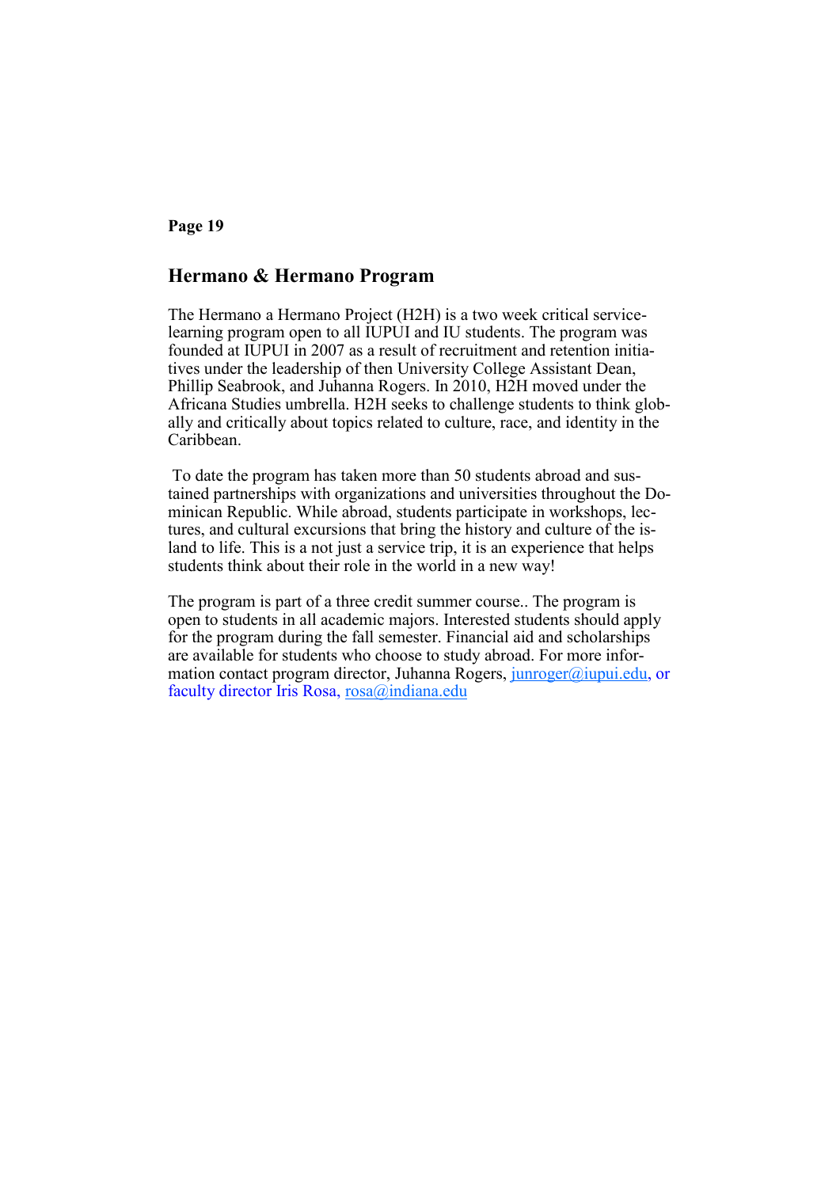# **Hermano & Hermano Program**

The Hermano a Hermano Project (H2H) is a two week critical servicelearning program open to all IUPUI and IU students. The program was founded at IUPUI in 2007 as a result of recruitment and retention initiatives under the leadership of then University College Assistant Dean, Phillip Seabrook, and Juhanna Rogers. In 2010, H2H moved under the Africana Studies umbrella. H2H seeks to challenge students to think globally and critically about topics related to culture, race, and identity in the Caribbean.

To date the program has taken more than 50 students abroad and sustained partnerships with organizations and universities throughout the Dominican Republic. While abroad, students participate in workshops, lectures, and cultural excursions that bring the history and culture of the island to life. This is a not just a service trip, it is an experience that helps students think about their role in the world in a new way!

The program is part of a three credit summer course.. The program is open to students in all academic majors. Interested students should apply for the program during the fall semester. Financial aid and scholarships are available for students who choose to study abroad. For more information contact program director, Juhanna Rogers, [junroger@iupui.edu,](mailto:junroger@iupui.edu) or faculty director Iris Rosa, [rosa@indiana.edu](mailto:rosa@indiana.edu)